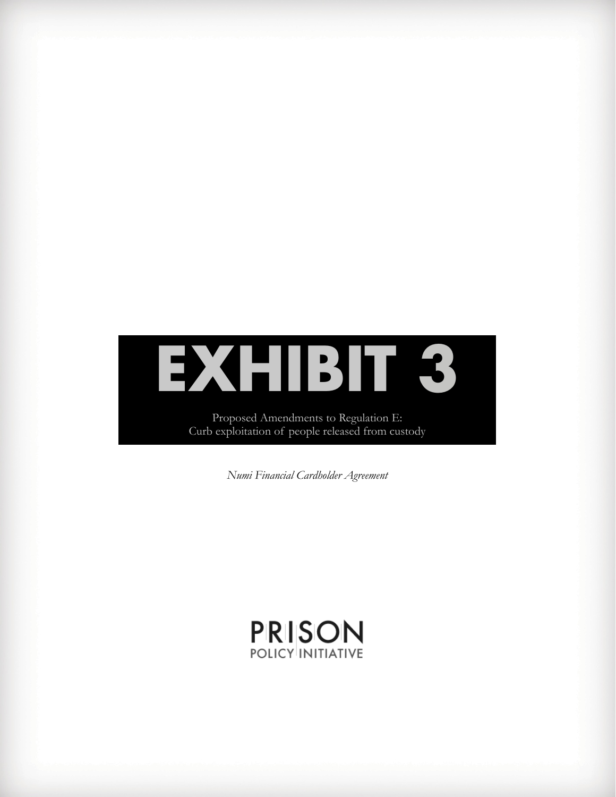# **EXHIBIT 3**

Proposed Amendments to Regulation E: Curb exploitation of people released from custody

*Numi Financial Cardholder Agreement*

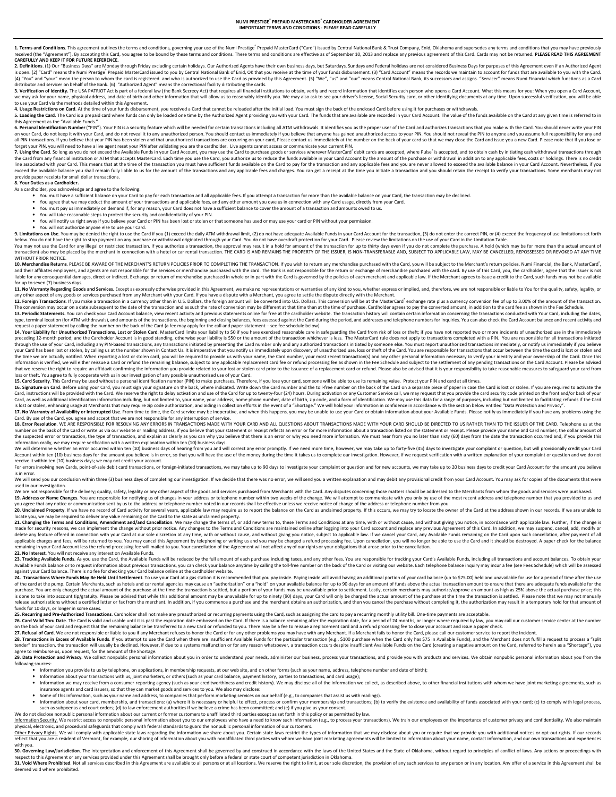1. Terms and Conditions. This agreement outlines the terms and conditions, governing your use of the Numi Prestige Prepaid MasterCard ("Card") issued by Central National Bank & Trust Company, Enid, Oklahoma and supersedes received (the "Agreement"). By accepting this Card, you agree to be bound by these terms and conditions. These terms and conditions are effective as of September 10, 2013 and replace any previous agreement of this Card, Ca CAREFULLY AND KEEP IT FOR FUTURE REFERENCE.

**2. Definitions**. (1) Our "Business Days" are Monday through Friday excluding certain holidays. Our Authorized Agents have their own business days, but Saturdays, Sundays and Federal holidays are not considered Business Da (4) "You" and "your" mean the person to whom the card is registered and who is authorized to use the Card as provided by this Agreement. (5) "We", "us" and "our" means Central National Bank, its successors and assigns. "Se ervicer on behalf of the Bank. (6) "Authorized Agent" means the correctional facility distributing the cards.

3. Verification of Identity. The USA PATRIOT Act is part of a federal law (the Bank Secrecy Act) that requires all financial institutions to obtain, verify and record information that identifies each person who opens a Car we may ask for your name, physical address, and date of birth and other information that will allow us to reasonably identify you. We may also ask to see your driver's license, Social Security card, or other identifying do

5. Loading the Card is a present card where funds can only be loaded one time by the Authorized Agent providing you with your Card. The funds that are available are recorded in your Card Account. The value of the funds ava ant as the "Available Funds."

6. Personal Identification Number ("PIN"). Your PIN is a security feature which will be needed for certain transactions including all ATM withdrawals. It identifies you as the proper user of the Card and authorizes transac on your Card, do not keep it with your Card, and do not reveal it to any unauthorized person. You should contact us immediately if you believe that anyone has gained unauthorized access to your PIN. You should not reveal t

7. Using the Card. So long as you do not exceed the Available Funds in your Card Account, you may use the Card to purchase goods or services wherever MasterCard debit cards are accepted, where Pulse is accepted, and to obt the Card from any financial institution or ATM that accepts MasterCard. Each time you use the Card, you authorize us to reduce the funds available in your Card Account by the amount of the purchase or withdrawal in additio provide paper receipts for small dollar transactions.<br>8. Your Duties as a Cardholder.

## 8. Your Duties as a Cardholder.

As a cardholder, you acknowledge and agree to the following:

- You must have a sufficient balance on your Card to pay for each transaction and all applicable fees. If you attempt a transaction for more than the available balance on your Card, the transaction may be declined.
- You agree that we may deduct the amount of your transactions and applicable fees, and any other amount you owe us in connection with any Card usage, directly from your Card.
- You must pay us immediately on demand if, for any reason, your Card does not have a sufficient balance to cover the amount of a transaction and amounts owed to us.
- You will take reasonable steps to protect the security and confidentiality of your PIN. You will notify us right away if you believe your Card or PIN has been lost or stolen or that someone has used or may use your card or PIN without your permission.
- 

● You will not authorize anyone else to use your Card.<br>9. Limitations on Use. You may be denied the right to use the Card if you (1) exceed the daily ATM withdrawal limit, (2) do not have adequate Available Funds in your below. You do not have the right to stop payment on any purchase or withdrawal originated through your Card. You do not have overdraft protection for your Card. Please review the limitations on the use of your Card in the

You may not use the Card for any illegal or restricted transaction. If you authorize a transaction, the approval may result in a hold for amount of the transaction for up to thirty days even if you do not complete the purc

10. Merchandise Returns. PLEASE BE AWARE OF THE MERCHANT'S RETURN POLICIES PRIOR TO COMPLETING THE TRANSACTION. If you wish to return any merchandise purchased with the Card, you will be subject to the Merchant's return po and their affiliates employees, and agents are not responsible for the services or merchandise purchandise purchased with the card. The Bank is not responsible for the return or exchange of merchandise purchased by the pol for up to seven (7) business days.

**11. No Warranty Regarding Goods and Services.** Except as expressly otherwise provided in this Agreement, we make no representations or warranties of any kind to you, whether express or implied, and, therefore, we are not

The conversion may occur on a date subsequent to the date of the transaction and as such the rate of conversion may be different at that time than at the time of purchase. Cardholder agrees to pay the converted amount, in type, terminal location (for ATM withdrawals), and amounts of the transactions, the beginning and closing balances, fees assessed against the Card during the period, and addresses and telephone numbers for inquiries. You c

request a paper statement by calling the number on the back of the Card (a fee may apply for the call and paper statement – see fee schedule below).<br>14. Your Liability for Unauthorized Transactions, Lost of the Schemes bea through the use of your Card, including any PIN-based transactions, any transactions initiated by presenting the Card number only and any authorized transactions initiated by someone else. You must report unauthorized tran www.crackson.com/intervention.com/intervention.com/intervention.com/intervention.com/intervention.com/intervention/intervention/intervention/intervention/intervention/intervention/intervention/intervention/intervention/int the time we are actually notified. When reporting a lost or stolen card, you will be required to provide us with your name, the Card number, your most recent transaction(s) and any other personal information necessary to v information is verified, we will either reissue a Card or refund the remaining balance, subject to any applicable replacement card fee or refund processing fee as shown in the Fee Schedule and subject to the settlement of

and the state of the state of the state of the control identification pumpler (PIN) to make purchases. Therefore, if you lose your card, someone will be able to use its remaining value. Protect your PIN and card at all tim

**16. Signature on Card**. Before using your Card, you must sign your signature on the back, where indicated. Write down the Card number and the toll-free number on the back of the Card on a separate piece of paper in case t Card, as well as additional identification information including, but not limited to, your name, your address, home phone number, date of birth, zip code, and a form of identification. We may use this data for a range of p

Card. By use of the Card, you agree and accept that we are not responsible for any interruption of service. 18. Error Resolution, WE ARE RESPONSIBLE FOR RESOLVING ANY FRROBS IN TRANSACTIONS MADE WITH YOUR CARD AND ALL OUESTIONS AROUT TRANSACTIONS MADE WITH YOUR CARD SHOULD BE DIRECTED TO US RATHER THAN TO THE ISSUER OF THE CARD. number on the back of the Card or write us via our website or mailing address, if you believe that your statement or receipt reflects an error or for more information about a transaction listed on the statement or receipt.

information orally, we may require verification with a written explanation within ten (10) business days of hearing from you and will correct any error promptly. If we need more time, however, we may take up to forty-five Account within ten (10) business days for the amount you believe is in error, so that you will have the use of the money during the time it takes us to complete our investigation. However, if we request verification with a receive it within ten (10) business days; we may not credit your account.

For errors involving new Cards, point-of-sale debit card transactions, or foreign-initiated transactions, we may take up to 90 days to investigate your complaint or question and for new accounts, we may take up to 20 busin is in error.

# with send you our conclusion within three (3) business days of completing our investigation. If we decide that there was no error, we will send you a written explanation and may debit any provisional credit from your Card used in our investigation.<br>We are not responsible for the delivery, quality, safety, legality or any other aspect of the goods and services purchased from Merchants with the Card. Any disputes concerning those matters shou

19. Address or Name Changes. You are responsible for notifying us of changes in your address or telephone number within two weeks of the change. We will attempt to communicate with you only by use of the most recent addres

you agree that any notice or communication sent by us to the address or telephone number noted in our records shall be effective unless we receive notice of change of the address or telephone number from you.<br>20. Unclaimed locate you, we may be required to deliver any value remaining on the Card to the state as unclaimed property.

**21. Changing the Terms and Conditions, Amendment and/and Cancellation**. We may change the terms of, or add new terms to, these Terms and Conditions at any time, with or without cause, and without giving you notice, in acc applicable charges and fees, will be returned to you. You may cancel this Agreement by telephoning or writing us and you may be charged a refund processing fee. Upon cancellation, you will no longer be able to use the Card

23. Tracking Available Funds, As you use the Card, the Available Funds will be reduced by the full amount of each purchase including taxes, and any other fees. You are responsible for tracking your Card's Available Funds i Available Funds balance or to request information about previous transactions, you can check your balance anytime by calling the toll-free number on the back of the Card or visiting our website. Each telephone balance inqu against your Card balance. There is no fee for checking your Card balance online at the cardholder website.

24. Transactions Where Funds May Be Held Until Settlement. To use your Card at a gas station it is recommended that you pay inside. Paying inside will avoid having an additional portion of your card balance (up to \$75.00) of the card at the pump. Certain Merchants, such as hotels and car rental agencies may cause an "authorization" or a "hold" on your available for whe valuable for the oblog ays for an amount of funds above the actual trans is done to take into account tip/eratuity. Please be advised that while this additional amount may be unavailable for up to ninety (90) days, your Card will only be charged the actual amount of the purchase at the time the release authorizations without a certified letter or fax from the merchant. In addition, if you commence a purchase and the merchant obtains an authorization, and then you cancel the purchase without completing it, the aut

# funds for 10 days, or longer in some cases.<br>**25. Recurring and Pre-Authorized Transactions**. Cardholder shall not make any preauthorized or recurring payments using the Card, such as assigning the card to pay a recurring m

**26. Card Valid Thru Date**. The Card is valid and usable until it is past the expiration date embossed on the Card. If there is a balance remaining after the expiration date, for a period of 24 months, or longer where requ

**28. Transactions in Excess of Available Funds**. If you attempt to use the Card when there are insufficient Available Funds for the particular transaction (e.g., \$100 purchase when the Card only has \$75 in Available Funds)

29. Data Protection and Privacy. We collect nonoublic personal information about you in order to understand your needs, administer our business, process your transactions, and provide you with products and services. We obt following sources:

Information you provide to us by telephone, on applications, in membership requests, at our web site, and on other forms (such as your name, address, telephone number and date of birth);

- 
- Information about your transactions with us, joint marketers, or others (such as your card balance, payment history, parties to transactions, and card usage);<br>• Information we may receive from a consumer-reporting agency insurance agents and card issuers, so that they can market goods and services to you. We also may disclose:
- 
- Some of this information, such as your name and address, to companies that perform marketing services on our behalf (e.g., to companies that assist us with mailings).<br>• Information about your card, membership, and trans such as subpoenas and court orders; (d) to law enforcement authorities if we believe a crime has been committed; and (e) if you give us your consent.
- We do not disclose nonpublic personal information about our current or former customers to unaffiliated third parties except as set forth in this policy or as permitted by law.

Information Security. We restrict access to nonpublic personal information about you to our employees who have a need to know such information (e.g., to process your transactions). We train our employees on the importance physical, electronic, and procedural safeguards that comply with federal standards to guard the nonpublic personal information of our customers.

<u>Other Privacy Rights.</u> We will comply with applicable state laws regarding the information we share about you. Certain state laws restrict the types of information that we may disclose about you or require that we provide with you.

and Soverning Law/Jurisdiction. The interpretation and enforcement of this Agreement shall be governed by and construed in accordance with the laws of the United States and the State of Oklahoma, without regard to principl respect to this Agreement or any services provided under this Agreement shall be brought only before a federal or state court of competent jurisdiction in Oklahoma. 31. Void Where Prohibited. Not all services described in this Agreement are available to all persons or at all locations. We reserve the right to limit, at our sole discretion, the provision of any such services to any per

ded void where prohibited.